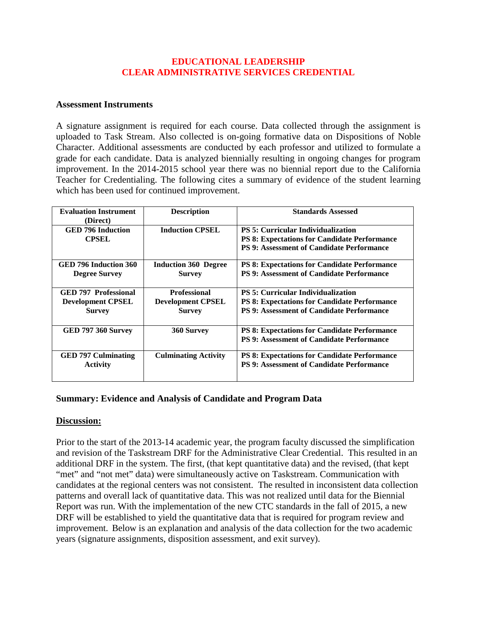#### **EDUCATIONAL LEADERSHIP CLEAR ADMINISTRATIVE SERVICES CREDENTIAL**

#### **Assessment Instruments**

A signature assignment is required for each course. Data collected through the assignment is uploaded to Task Stream. Also collected is on-going formative data on Dispositions of Noble Character. Additional assessments are conducted by each professor and utilized to formulate a grade for each candidate. Data is analyzed biennially resulting in ongoing changes for program improvement. In the 2014-2015 school year there was no biennial report due to the California Teacher for Credentialing. The following cites a summary of evidence of the student learning which has been used for continued improvement.

| <b>Evaluation Instrument</b><br>(Direct)      | <b>Description</b>                           | <b>Standards Assessed</b>                                                                                                                            |
|-----------------------------------------------|----------------------------------------------|------------------------------------------------------------------------------------------------------------------------------------------------------|
| <b>GED 796 Induction</b><br><b>CPSEL</b>      | <b>Induction CPSEL</b>                       | <b>PS 5: Curricular Individualization</b><br><b>PS 8: Expectations for Candidate Performance</b><br><b>PS 9: Assessment of Candidate Performance</b> |
| GED 796 Induction 360<br><b>Degree Survey</b> | <b>Induction 360 Degree</b><br><b>Survey</b> | <b>PS 8: Expectations for Candidate Performance</b><br><b>PS 9: Assessment of Candidate Performance</b>                                              |
| <b>GED 797 Professional</b>                   | <b>Professional</b>                          | <b>PS 5: Curricular Individualization</b>                                                                                                            |
| <b>Development CPSEL</b>                      | <b>Development CPSEL</b>                     | <b>PS 8: Expectations for Candidate Performance</b>                                                                                                  |
| <b>Survey</b>                                 | <b>Survey</b>                                | <b>PS 9: Assessment of Candidate Performance</b>                                                                                                     |
| <b>GED 797 360 Survey</b>                     | 360 Survey                                   | <b>PS 8: Expectations for Candidate Performance</b>                                                                                                  |
|                                               |                                              | <b>PS 9: Assessment of Candidate Performance</b>                                                                                                     |
| <b>GED 797 Culminating</b><br><b>Activity</b> | <b>Culminating Activity</b>                  | <b>PS 8: Expectations for Candidate Performance</b><br><b>PS 9: Assessment of Candidate Performance</b>                                              |

#### **Summary: Evidence and Analysis of Candidate and Program Data**

#### **Discussion:**

Prior to the start of the 2013-14 academic year, the program faculty discussed the simplification and revision of the Taskstream DRF for the Administrative Clear Credential. This resulted in an additional DRF in the system. The first, (that kept quantitative data) and the revised, (that kept "met" and "not met" data) were simultaneously active on Taskstream. Communication with candidates at the regional centers was not consistent. The resulted in inconsistent data collection patterns and overall lack of quantitative data. This was not realized until data for the Biennial Report was run. With the implementation of the new CTC standards in the fall of 2015, a new DRF will be established to yield the quantitative data that is required for program review and improvement. Below is an explanation and analysis of the data collection for the two academic years (signature assignments, disposition assessment, and exit survey).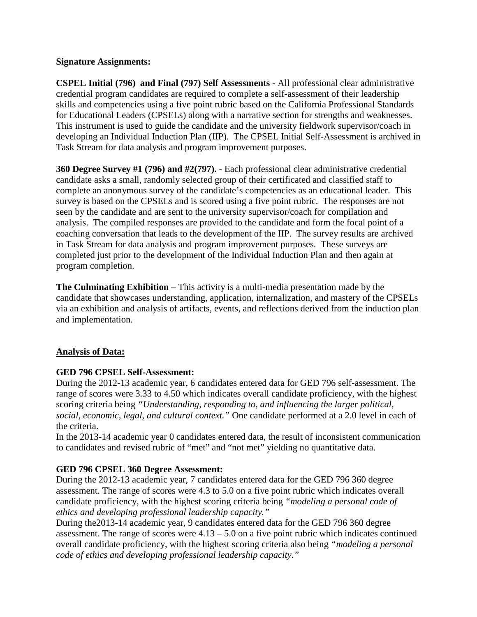#### **Signature Assignments:**

**CSPEL Initial (796) and Final (797) Self Assessments -** All professional clear administrative credential program candidates are required to complete a self-assessment of their leadership skills and competencies using a five point rubric based on the California Professional Standards for Educational Leaders (CPSELs) along with a narrative section for strengths and weaknesses. This instrument is used to guide the candidate and the university fieldwork supervisor/coach in developing an Individual Induction Plan (IIP). The CPSEL Initial Self-Assessment is archived in Task Stream for data analysis and program improvement purposes.

**360 Degree Survey #1 (796) and #2(797).** - Each professional clear administrative credential candidate asks a small, randomly selected group of their certificated and classified staff to complete an anonymous survey of the candidate's competencies as an educational leader. This survey is based on the CPSELs and is scored using a five point rubric. The responses are not seen by the candidate and are sent to the university supervisor/coach for compilation and analysis. The compiled responses are provided to the candidate and form the focal point of a coaching conversation that leads to the development of the IIP. The survey results are archived in Task Stream for data analysis and program improvement purposes. These surveys are completed just prior to the development of the Individual Induction Plan and then again at program completion.

**The Culminating Exhibition** – This activity is a multi-media presentation made by the candidate that showcases understanding, application, internalization, and mastery of the CPSELs via an exhibition and analysis of artifacts, events, and reflections derived from the induction plan and implementation.

# **Analysis of Data:**

# **GED 796 CPSEL Self-Assessment:**

During the 2012-13 academic year, 6 candidates entered data for GED 796 self-assessment. The range of scores were 3.33 to 4.50 which indicates overall candidate proficiency, with the highest scoring criteria being *"Understanding, responding to, and influencing the larger political, social, economic, legal, and cultural context."* One candidate performed at a 2.0 level in each of the criteria.

In the 2013-14 academic year 0 candidates entered data, the result of inconsistent communication to candidates and revised rubric of "met" and "not met" yielding no quantitative data.

# **GED 796 CPSEL 360 Degree Assessment:**

During the 2012-13 academic year, 7 candidates entered data for the GED 796 360 degree assessment. The range of scores were 4.3 to 5.0 on a five point rubric which indicates overall candidate proficiency, with the highest scoring criteria being *"modeling a personal code of ethics and developing professional leadership capacity."*

During the2013-14 academic year, 9 candidates entered data for the GED 796 360 degree assessment. The range of scores were  $4.13 - 5.0$  on a five point rubric which indicates continued overall candidate proficiency, with the highest scoring criteria also being *"modeling a personal code of ethics and developing professional leadership capacity."*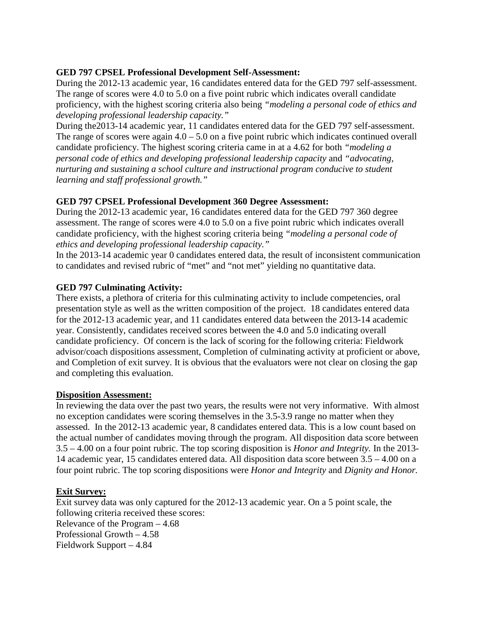#### **GED 797 CPSEL Professional Development Self-Assessment:**

During the 2012-13 academic year, 16 candidates entered data for the GED 797 self-assessment. The range of scores were 4.0 to 5.0 on a five point rubric which indicates overall candidate proficiency, with the highest scoring criteria also being *"modeling a personal code of ethics and developing professional leadership capacity."*

During the2013-14 academic year, 11 candidates entered data for the GED 797 self-assessment. The range of scores were again  $4.0 - 5.0$  on a five point rubric which indicates continued overall candidate proficiency. The highest scoring criteria came in at a 4.62 for both *"modeling a personal code of ethics and developing professional leadership capacity* and *"advocating, nurturing and sustaining a school culture and instructional program conducive to student learning and staff professional growth."*

# **GED 797 CPSEL Professional Development 360 Degree Assessment:**

During the 2012-13 academic year, 16 candidates entered data for the GED 797 360 degree assessment. The range of scores were 4.0 to 5.0 on a five point rubric which indicates overall candidate proficiency, with the highest scoring criteria being *"modeling a personal code of ethics and developing professional leadership capacity."*

In the 2013-14 academic year 0 candidates entered data, the result of inconsistent communication to candidates and revised rubric of "met" and "not met" yielding no quantitative data.

# **GED 797 Culminating Activity:**

There exists, a plethora of criteria for this culminating activity to include competencies, oral presentation style as well as the written composition of the project. 18 candidates entered data for the 2012-13 academic year, and 11 candidates entered data between the 2013-14 academic year. Consistently, candidates received scores between the 4.0 and 5.0 indicating overall candidate proficiency. Of concern is the lack of scoring for the following criteria: Fieldwork advisor/coach dispositions assessment, Completion of culminating activity at proficient or above, and Completion of exit survey. It is obvious that the evaluators were not clear on closing the gap and completing this evaluation.

# **Disposition Assessment:**

In reviewing the data over the past two years, the results were not very informative. With almost no exception candidates were scoring themselves in the 3.5-3.9 range no matter when they assessed. In the 2012-13 academic year, 8 candidates entered data. This is a low count based on the actual number of candidates moving through the program. All disposition data score between 3.5 – 4.00 on a four point rubric. The top scoring disposition is *Honor and Integrity.* In the 2013- 14 academic year, 15 candidates entered data. All disposition data score between 3.5 – 4.00 on a four point rubric. The top scoring dispositions were *Honor and Integrity* and *Dignity and Honor.*

# **Exit Survey:**

Exit survey data was only captured for the 2012-13 academic year. On a 5 point scale, the following criteria received these scores: Relevance of the Program – 4.68 Professional Growth – 4.58 Fieldwork Support – 4.84